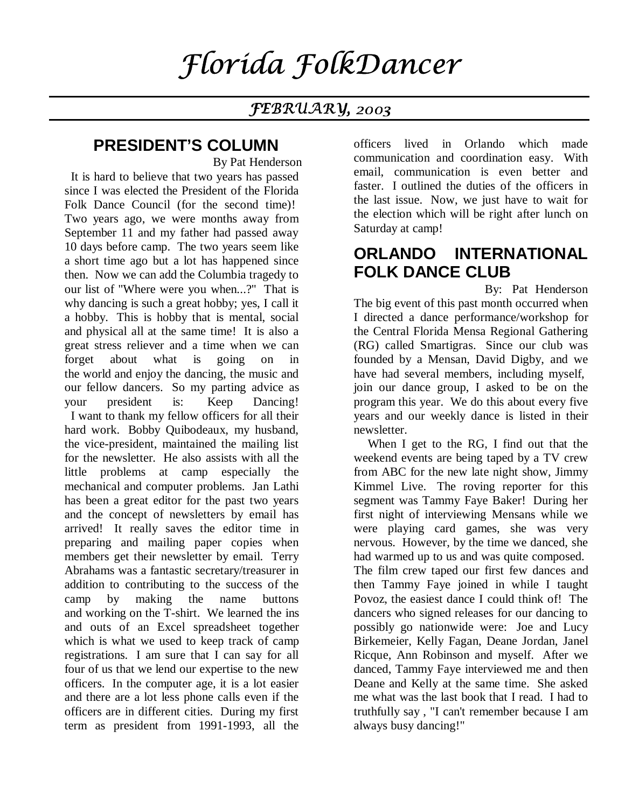# Florida FolkDancer

### **fEBRUARY**, 2003

### **PRESIDENT'S COLUMN**

 By Pat Henderson It is hard to believe that two years has passed since I was elected the President of the Florida Folk Dance Council (for the second time)! Two years ago, we were months away from September 11 and my father had passed away 10 days before camp. The two years seem like a short time ago but a lot has happened since then. Now we can add the Columbia tragedy to our list of "Where were you when...?" That is why dancing is such a great hobby; yes, I call it a hobby. This is hobby that is mental, social and physical all at the same time! It is also a great stress reliever and a time when we can forget about what is going on in the world and enjoy the dancing, the music and our fellow dancers. So my parting advice as your president is: Keep Dancing! I want to thank my fellow officers for all their hard work. Bobby Quibodeaux, my husband, the vice-president, maintained the mailing list for the newsletter. He also assists with all the little problems at camp especially the mechanical and computer problems. Jan Lathi has been a great editor for the past two years and the concept of newsletters by email has arrived! It really saves the editor time in preparing and mailing paper copies when members get their newsletter by email. Terry Abrahams was a fantastic secretary/treasurer in addition to contributing to the success of the camp by making the name buttons and working on the T-shirt. We learned the ins and outs of an Excel spreadsheet together which is what we used to keep track of camp registrations. I am sure that I can say for all four of us that we lend our expertise to the new officers. In the computer age, it is a lot easier and there are a lot less phone calls even if the officers are in different cities. During my first term as president from 1991-1993, all the

officers lived in Orlando which made communication and coordination easy. With email, communication is even better and faster. I outlined the duties of the officers in the last issue. Now, we just have to wait for the election which will be right after lunch on Saturday at camp!

### **ORLANDO INTERNATIONAL FOLK DANCE CLUB**

 By: Pat Henderson The big event of this past month occurred when I directed a dance performance/workshop for the Central Florida Mensa Regional Gathering (RG) called Smartigras. Since our club was founded by a Mensan, David Digby, and we have had several members, including myself, join our dance group, I asked to be on the program this year. We do this about every five years and our weekly dance is listed in their newsletter.

 When I get to the RG, I find out that the weekend events are being taped by a TV crew from ABC for the new late night show, Jimmy Kimmel Live. The roving reporter for this segment was Tammy Faye Baker! During her first night of interviewing Mensans while we were playing card games, she was very nervous. However, by the time we danced, she had warmed up to us and was quite composed. The film crew taped our first few dances and then Tammy Faye joined in while I taught Povoz, the easiest dance I could think of! The dancers who signed releases for our dancing to possibly go nationwide were: Joe and Lucy Birkemeier, Kelly Fagan, Deane Jordan, Janel Ricque, Ann Robinson and myself. After we danced, Tammy Faye interviewed me and then Deane and Kelly at the same time. She asked me what was the last book that I read. I had to truthfully say , "I can't remember because I am always busy dancing!"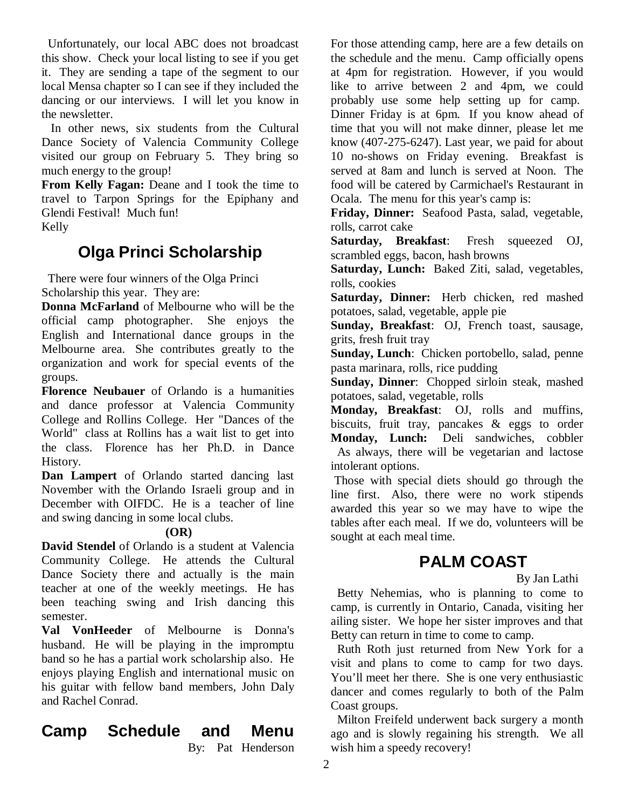Unfortunately, our local ABC does not broadcast this show. Check your local listing to see if you get it. They are sending a tape of the segment to our local Mensa chapter so I can see if they included the dancing or our interviews. I will let you know in the newsletter.

 In other news, six students from the Cultural Dance Society of Valencia Community College visited our group on February 5. They bring so much energy to the group!

**From Kelly Fagan:** Deane and I took the time to travel to Tarpon Springs for the Epiphany and Glendi Festival! Much fun!

Kelly

### **Olga Princi Scholarship**

 There were four winners of the Olga Princi Scholarship this year. They are:

**Donna McFarland** of Melbourne who will be the official camp photographer. She enjoys the English and International dance groups in the Melbourne area. She contributes greatly to the organization and work for special events of the groups.

**Florence Neubauer** of Orlando is a humanities and dance professor at Valencia Community College and Rollins College. Her "Dances of the World" class at Rollins has a wait list to get into the class. Florence has her Ph.D. in Dance History.

**Dan Lampert** of Orlando started dancing last November with the Orlando Israeli group and in December with OIFDC. He is a teacher of line and swing dancing in some local clubs.

#### **(OR)**

**David Stendel** of Orlando is a student at Valencia Community College. He attends the Cultural Dance Society there and actually is the main teacher at one of the weekly meetings. He has been teaching swing and Irish dancing this semester.

**Val VonHeeder** of Melbourne is Donna's husband. He will be playing in the impromptu band so he has a partial work scholarship also. He enjoys playing English and international music on his guitar with fellow band members, John Daly and Rachel Conrad.

# **Camp Schedule and Menu**

By: Pat Henderson

For those attending camp, here are a few details on the schedule and the menu. Camp officially opens at 4pm for registration. However, if you would like to arrive between 2 and 4pm, we could probably use some help setting up for camp. Dinner Friday is at 6pm. If you know ahead of time that you will not make dinner, please let me know (407-275-6247). Last year, we paid for about 10 no-shows on Friday evening. Breakfast is served at 8am and lunch is served at Noon. The food will be catered by Carmichael's Restaurant in Ocala. The menu for this year's camp is:

**Friday, Dinner:** Seafood Pasta, salad, vegetable, rolls, carrot cake

**Saturday, Breakfast**: Fresh squeezed OJ, scrambled eggs, bacon, hash browns

**Saturday, Lunch:** Baked Ziti, salad, vegetables, rolls, cookies

**Saturday, Dinner:** Herb chicken, red mashed potatoes, salad, vegetable, apple pie

**Sunday, Breakfast**: OJ, French toast, sausage, grits, fresh fruit tray

**Sunday, Lunch**: Chicken portobello, salad, penne pasta marinara, rolls, rice pudding

**Sunday, Dinner**: Chopped sirloin steak, mashed potatoes, salad, vegetable, rolls

**Monday, Breakfast**: OJ, rolls and muffins, biscuits, fruit tray, pancakes & eggs to order **Monday, Lunch:** Deli sandwiches, cobbler

 As always, there will be vegetarian and lactose intolerant options.

 Those with special diets should go through the line first. Also, there were no work stipends awarded this year so we may have to wipe the tables after each meal. If we do, volunteers will be sought at each meal time.

## **PALM COAST**

By Jan Lathi

 Betty Nehemias, who is planning to come to camp, is currently in Ontario, Canada, visiting her ailing sister. We hope her sister improves and that Betty can return in time to come to camp.

 Ruth Roth just returned from New York for a visit and plans to come to camp for two days. You'll meet her there. She is one very enthusiastic dancer and comes regularly to both of the Palm Coast groups.

 Milton Freifeld underwent back surgery a month ago and is slowly regaining his strength. We all wish him a speedy recovery!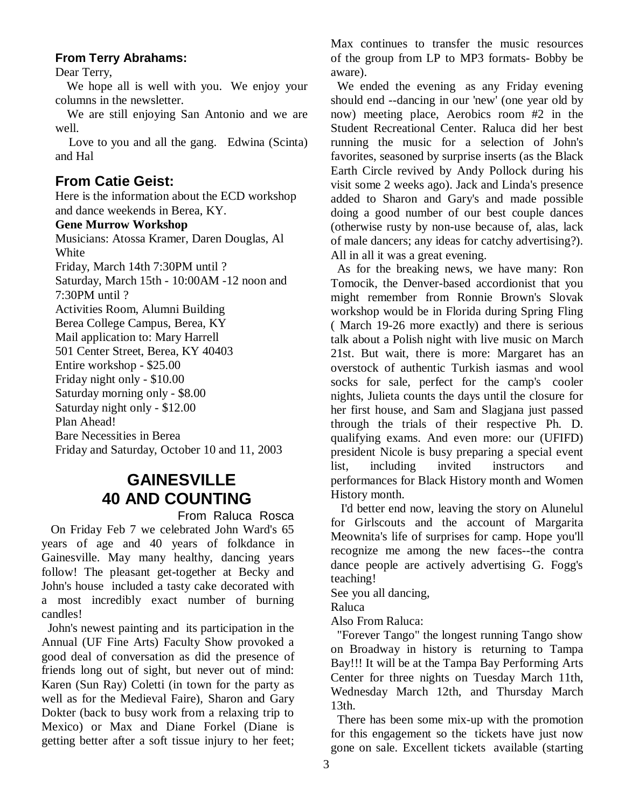#### **From Terry Abrahams:**

Dear Terry,

 We hope all is well with you. We enjoy your columns in the newsletter.

 We are still enjoying San Antonio and we are well.

Love to you and all the gang. Edwina (Scinta) and Hal

### **From Catie Geist:**

Here is the information about the ECD workshop and dance weekends in Berea, KY.

#### **Gene Murrow Workshop**

Musicians: Atossa Kramer, Daren Douglas, Al White Friday, March 14th 7:30PM until ? Saturday, March 15th - 10:00AM -12 noon and 7:30PM until ? Activities Room, Alumni Building Berea College Campus, Berea, KY Mail application to: Mary Harrell 501 Center Street, Berea, KY 40403 Entire workshop - \$25.00 Friday night only - \$10.00 Saturday morning only - \$8.00 Saturday night only - \$12.00 Plan Ahead! Bare Necessities in Berea Friday and Saturday, October 10 and 11, 2003

### **GAINESVILLE 40 AND COUNTING**

From Raluca Rosca

 On Friday Feb 7 we celebrated John Ward's 65 years of age and 40 years of folkdance in Gainesville. May many healthy, dancing years follow! The pleasant get-together at Becky and John's house included a tasty cake decorated with a most incredibly exact number of burning candles!

 John's newest painting and its participation in the Annual (UF Fine Arts) Faculty Show provoked a good deal of conversation as did the presence of friends long out of sight, but never out of mind: Karen (Sun Ray) Coletti (in town for the party as well as for the Medieval Faire), Sharon and Gary Dokter (back to busy work from a relaxing trip to Mexico) or Max and Diane Forkel (Diane is getting better after a soft tissue injury to her feet;

Max continues to transfer the music resources of the group from LP to MP3 formats- Bobby be aware).

 We ended the evening as any Friday evening should end --dancing in our 'new' (one year old by now) meeting place, Aerobics room #2 in the Student Recreational Center. Raluca did her best running the music for a selection of John's favorites, seasoned by surprise inserts (as the Black Earth Circle revived by Andy Pollock during his visit some 2 weeks ago). Jack and Linda's presence added to Sharon and Gary's and made possible doing a good number of our best couple dances (otherwise rusty by non-use because of, alas, lack of male dancers; any ideas for catchy advertising?). All in all it was a great evening.

 As for the breaking news, we have many: Ron Tomocik, the Denver-based accordionist that you might remember from Ronnie Brown's Slovak workshop would be in Florida during Spring Fling ( March 19-26 more exactly) and there is serious talk about a Polish night with live music on March 21st. But wait, there is more: Margaret has an overstock of authentic Turkish iasmas and wool socks for sale, perfect for the camp's cooler nights, Julieta counts the days until the closure for her first house, and Sam and Slagjana just passed through the trials of their respective Ph. D. qualifying exams. And even more: our (UFIFD) president Nicole is busy preparing a special event list, including invited instructors and performances for Black History month and Women History month.

 I'd better end now, leaving the story on Alunelul for Girlscouts and the account of Margarita Meownita's life of surprises for camp. Hope you'll recognize me among the new faces--the contra dance people are actively advertising G. Fogg's teaching!

See you all dancing,

Raluca

Also From Raluca:

 "Forever Tango" the longest running Tango show on Broadway in history is returning to Tampa Bay!!! It will be at the Tampa Bay Performing Arts Center for three nights on Tuesday March 11th, Wednesday March 12th, and Thursday March 13th.

 There has been some mix-up with the promotion for this engagement so the tickets have just now gone on sale. Excellent tickets available (starting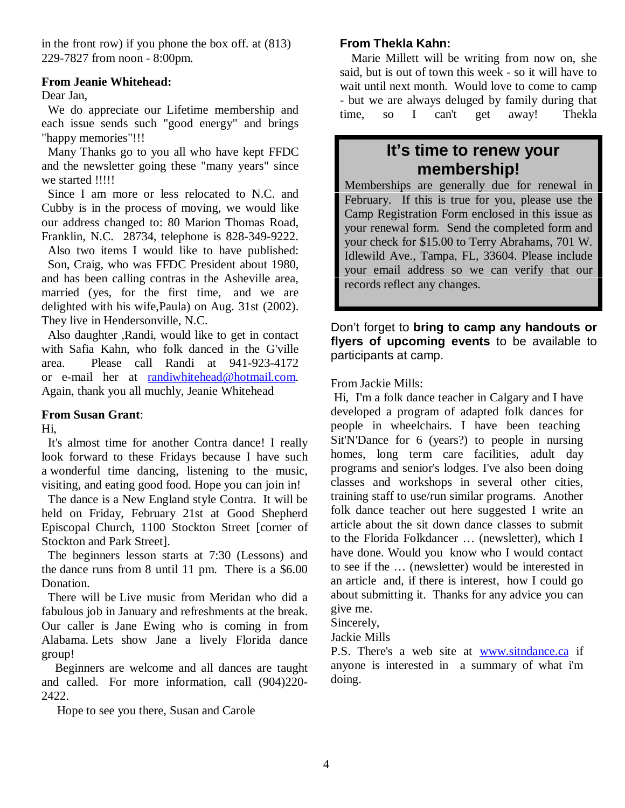in the front row) if you phone the box off. at (813) 229-7827 from noon - 8:00pm.

#### **From Jeanie Whitehead:**

#### Dear Jan,

 We do appreciate our Lifetime membership and each issue sends such "good energy" and brings "happy memories"!!!

 Many Thanks go to you all who have kept FFDC and the newsletter going these "many years" since we started !!!!!

 Since I am more or less relocated to N.C. and Cubby is in the process of moving, we would like our address changed to: 80 Marion Thomas Road, Franklin, N.C. 28734, telephone is 828-349-9222.

 Also two items I would like to have published: Son, Craig, who was FFDC President about 1980, and has been calling contras in the Asheville area, married (yes, for the first time, and we are delighted with his wife,Paula) on Aug. 31st (2002). They live in Hendersonville, N.C.

 Also daughter ,Randi, would like to get in contact with Safia Kahn, who folk danced in the G'ville area. Please call Randi at 941-923-4172 or e-mail her at randiwhitehead@hotmail.com. Again, thank you all muchly, Jeanie Whitehead

#### **From Susan Grant**:

Hi,

 It's almost time for another Contra dance! I really look forward to these Fridays because I have such a wonderful time dancing, listening to the music, visiting, and eating good food. Hope you can join in!

 The dance is a New England style Contra. It will be held on Friday, February 21st at Good Shepherd Episcopal Church, 1100 Stockton Street [corner of Stockton and Park Street].

 The beginners lesson starts at 7:30 (Lessons) and the dance runs from 8 until 11 pm. There is a \$6.00 Donation.

 There will be Live music from Meridan who did a fabulous job in January and refreshments at the break. Our caller is Jane Ewing who is coming in from Alabama. Lets show Jane a lively Florida dance group!

 Beginners are welcome and all dances are taught and called. For more information, call (904)220- 2422.

Hope to see you there, Susan and Carole

#### **From Thekla Kahn:**

 Marie Millett will be writing from now on, she said, but is out of town this week - so it will have to wait until next month. Would love to come to camp - but we are always deluged by family during that time, so I can't get away! Thekla

### **It's time to renew your membership!**

Memberships are generally due for renewal in February. If this is true for you, please use the Camp Registration Form enclosed in this issue as your renewal form. Send the completed form and your check for \$15.00 to Terry Abrahams, 701 W. Idlewild Ave., Tampa, FL, 33604. Please include your email address so we can verify that our records reflect any changes.

Don't forget to **bring to camp any handouts or flyers of upcoming events** to be available to participants at camp.

From Jackie Mills:

 Hi, I'm a folk dance teacher in Calgary and I have developed a program of adapted folk dances for people in wheelchairs. I have been teaching Sit'N'Dance for 6 (years?) to people in nursing homes, long term care facilities, adult day programs and senior's lodges. I've also been doing classes and workshops in several other cities, training staff to use/run similar programs. Another folk dance teacher out here suggested I write an article about the sit down dance classes to submit to the Florida Folkdancer … (newsletter), which I have done. Would you know who I would contact to see if the … (newsletter) would be interested in an article and, if there is interest, how I could go about submitting it. Thanks for any advice you can give me.

Sincerely,

Jackie Mills

P.S. There's a web site at www.sitndance.ca if anyone is interested in a summary of what i'm doing.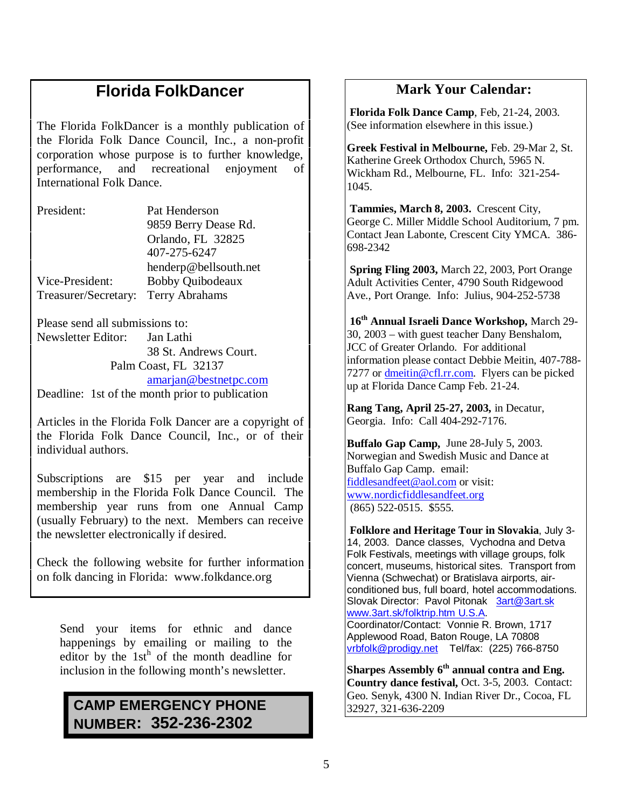### **Florida FolkDancer**

The Florida FolkDancer is a monthly publication of the Florida Folk Dance Council, Inc., a non-profit corporation whose purpose is to further knowledge, performance, and recreational enjoyment of International Folk Dance.

President: Pat Henderson 9859 Berry Dease Rd. Orlando, FL 32825 407-275-6247 henderp@bellsouth.net Vice-President: Bobby Quibodeaux Treasurer/Secretary: Terry Abrahams

Please send all submissions to: Newsletter Editor: Jan Lathi 38 St. Andrews Court. Palm Coast, FL 32137 amarjan@bestnetpc.com

Deadline: 1st of the month prior to publication

Articles in the Florida Folk Dancer are a copyright of the Florida Folk Dance Council, Inc., or of their individual authors.

Subscriptions are \$15 per year and include membership in the Florida Folk Dance Council. The membership year runs from one Annual Camp (usually February) to the next. Members can receive the newsletter electronically if desired.

Check the following website for further information on folk dancing in Florida: www.folkdance.org

Send your items for ethnic and dance happenings by emailing or mailing to the editor by the  $1st^h$  of the month deadline for inclusion in the following month's newsletter.

### **CAMP EMERGENCY PHONE NUMBER: 352-236-2302**

### **Mark Your Calendar:**

 **Florida Folk Dance Camp**, Feb, 21-24, 2003. (See information elsewhere in this issue.)

**Greek Festival in Melbourne,** Feb. 29-Mar 2, St. Katherine Greek Orthodox Church, 5965 N. Wickham Rd., Melbourne, FL. Info: 321-254- 1045.

 **Tammies, March 8, 2003.** Crescent City, George C. Miller Middle School Auditorium, 7 pm. Contact Jean Labonte, Crescent City YMCA. 386- 698-2342

 **Spring Fling 2003,** March 22, 2003, Port Orange Adult Activities Center, 4790 South Ridgewood Ave., Port Orange. Info: Julius, 904-252-5738

 **16th Annual Israeli Dance Workshop,** March 29- 30, 2003 – with guest teacher Dany Benshalom, JCC of Greater Orlando. For additional information please contact Debbie Meitin, 407-788- 7277 or dmeitin@cfl.rr.com. Flyers can be picked up at Florida Dance Camp Feb. 21-24.

**Rang Tang, April 25-27, 2003,** in Decatur, Georgia. Info: Call 404-292-7176.

**Buffalo Gap Camp,** June 28-July 5, 2003. Norwegian and Swedish Music and Dance at Buffalo Gap Camp. email: fiddlesandfeet@aol.com or visit: www.nordicfiddlesandfeet.org (865) 522-0515. \$555.

 **Folklore and Heritage Tour in Slovakia**, July 3- 14, 2003. Dance classes, Vychodna and Detva Folk Festivals, meetings with village groups, folk concert, museums, historical sites. Transport from Vienna (Schwechat) or Bratislava airports, airconditioned bus, full board, hotel accommodations. Slovak Director: Pavol Pitonak 3art@3art.sk www.3art.sk/folktrip.htm U.S.A. Coordinator/Contact: Vonnie R. Brown, 1717

Applewood Road, Baton Rouge, LA 70808 vrbfolk@prodigy.net Tel/fax: (225) 766-8750

**Sharpes Assembly 6th annual contra and Eng. Country dance festival,** Oct. 3-5, 2003. Contact: Geo. Senyk, 4300 N. Indian River Dr., Cocoa, FL 32927, 321-636-2209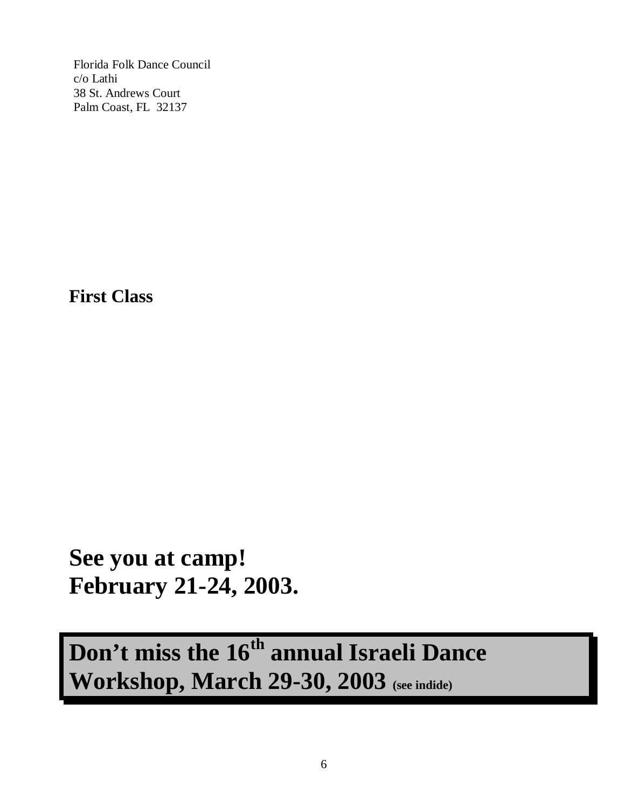Florida Folk Dance Council c/o Lathi 38 St. Andrews Court Palm Coast, FL 32137

**First Class**

**See you at camp! February 21-24, 2003.**

**Don't miss the 16th annual Israeli Dance Workshop, March 29-30, 2003 (see indide)**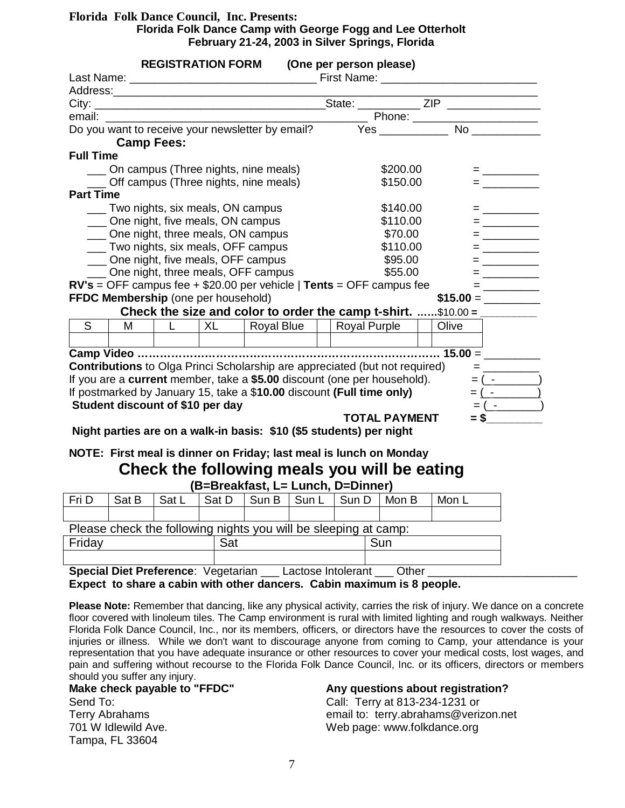#### **Florida Folk Dance Council, Inc. Presents: Florida Folk Dance Camp with George Fogg and Lee Otterholt February 21-24, 2003 in Silver Springs, Florida**

|                                                                                     |                                     | <b>REGISTRATION FORM</b> |  |  |          | (One per person please)                                                                                            |  |                                                                                                                                                                                                                                                                                                                        |                             |
|-------------------------------------------------------------------------------------|-------------------------------------|--------------------------|--|--|----------|--------------------------------------------------------------------------------------------------------------------|--|------------------------------------------------------------------------------------------------------------------------------------------------------------------------------------------------------------------------------------------------------------------------------------------------------------------------|-----------------------------|
|                                                                                     |                                     |                          |  |  |          |                                                                                                                    |  |                                                                                                                                                                                                                                                                                                                        |                             |
|                                                                                     |                                     |                          |  |  |          |                                                                                                                    |  |                                                                                                                                                                                                                                                                                                                        |                             |
|                                                                                     |                                     |                          |  |  |          |                                                                                                                    |  |                                                                                                                                                                                                                                                                                                                        |                             |
|                                                                                     |                                     |                          |  |  |          |                                                                                                                    |  |                                                                                                                                                                                                                                                                                                                        |                             |
|                                                                                     | <b>Camp Fees:</b>                   |                          |  |  |          |                                                                                                                    |  |                                                                                                                                                                                                                                                                                                                        |                             |
| <b>Full Time</b>                                                                    |                                     |                          |  |  |          |                                                                                                                    |  |                                                                                                                                                                                                                                                                                                                        |                             |
|                                                                                     |                                     |                          |  |  |          | \$200.00                                                                                                           |  |                                                                                                                                                                                                                                                                                                                        | = ________                  |
| __ On campus (Three nights, nine meals)<br>__ Off campus (Three nights, nine meals) |                                     |                          |  |  | \$150.00 |                                                                                                                    |  |                                                                                                                                                                                                                                                                                                                        | $=$ _________               |
| <b>Part Time</b>                                                                    |                                     |                          |  |  |          |                                                                                                                    |  |                                                                                                                                                                                                                                                                                                                        |                             |
|                                                                                     |                                     |                          |  |  |          | \$140.00                                                                                                           |  |                                                                                                                                                                                                                                                                                                                        | = _________                 |
| __ Two nights, six meals, ON campus<br>One night, five meals, ON campus             |                                     |                          |  |  |          | \$110.00                                                                                                           |  | $=$ $\frac{1}{2}$ $\frac{1}{2}$ $\frac{1}{2}$ $\frac{1}{2}$ $\frac{1}{2}$ $\frac{1}{2}$ $\frac{1}{2}$ $\frac{1}{2}$ $\frac{1}{2}$ $\frac{1}{2}$ $\frac{1}{2}$ $\frac{1}{2}$ $\frac{1}{2}$ $\frac{1}{2}$ $\frac{1}{2}$ $\frac{1}{2}$ $\frac{1}{2}$ $\frac{1}{2}$ $\frac{1}{2}$ $\frac{1}{2}$ $\frac{1}{2}$ $\frac{1}{2$ |                             |
| ___ One night, three meals, ON campus                                               |                                     |                          |  |  |          | \$70.00                                                                                                            |  |                                                                                                                                                                                                                                                                                                                        |                             |
| ___ Two nights, six meals, OFF campus                                               |                                     |                          |  |  |          | \$110.00                                                                                                           |  | = __________                                                                                                                                                                                                                                                                                                           |                             |
| ___ One night, five meals, OFF campus                                               |                                     |                          |  |  |          | \$95.00                                                                                                            |  | $\equiv$ 100 $\pm$ 100 $\pm$                                                                                                                                                                                                                                                                                           |                             |
| One night, three meals, OFF campus                                                  |                                     |                          |  |  | \$55.00  |                                                                                                                    |  |                                                                                                                                                                                                                                                                                                                        | $=$                         |
|                                                                                     |                                     |                          |  |  |          | $RV's = OFF$ campus fee + \$20.00 per vehicle   Tents = OFF campus fee                                             |  |                                                                                                                                                                                                                                                                                                                        | $= \underline{\hskip 10mm}$ |
|                                                                                     | FFDC Membership (one per household) |                          |  |  |          |                                                                                                                    |  |                                                                                                                                                                                                                                                                                                                        |                             |
|                                                                                     |                                     |                          |  |  |          |                                                                                                                    |  |                                                                                                                                                                                                                                                                                                                        |                             |
| $\overline{s}$                                                                      | M <sub>1</sub>                      |                          |  |  |          | L   XL   Royal Blue     Royal Purple                                                                               |  | Olive                                                                                                                                                                                                                                                                                                                  |                             |
|                                                                                     |                                     |                          |  |  |          |                                                                                                                    |  |                                                                                                                                                                                                                                                                                                                        |                             |
|                                                                                     |                                     |                          |  |  |          |                                                                                                                    |  |                                                                                                                                                                                                                                                                                                                        |                             |
|                                                                                     |                                     |                          |  |  |          | Contributions to Olga Princi Scholarship are appreciated (but not required)                                        |  |                                                                                                                                                                                                                                                                                                                        |                             |
|                                                                                     |                                     |                          |  |  |          | If you are a current member, take a \$5.00 discount (one per household).                                           |  |                                                                                                                                                                                                                                                                                                                        | $= ($ $ )$                  |
|                                                                                     |                                     |                          |  |  |          | If postmarked by January 15, take a \$10.00 discount (Full time only)                                              |  |                                                                                                                                                                                                                                                                                                                        | $= ($ - $)$                 |
|                                                                                     | Student discount of \$10 per day    |                          |  |  |          |                                                                                                                    |  |                                                                                                                                                                                                                                                                                                                        | $= ($ $ )$                  |
|                                                                                     |                                     |                          |  |  |          | <b>TOTAL PAYMENT</b>                                                                                               |  |                                                                                                                                                                                                                                                                                                                        | $=$ \$                      |
|                                                                                     |                                     |                          |  |  |          | Night parties are on a walk-in basis: \$10 (\$5 students) per night                                                |  |                                                                                                                                                                                                                                                                                                                        |                             |
|                                                                                     |                                     |                          |  |  |          | NOTE: First meal is dinner on Friday; last meal is lunch on Monday<br>Check the following meals you will be eating |  |                                                                                                                                                                                                                                                                                                                        |                             |

| (B=Breakfast, L= Lunch, D=Dinner)                               |       |       |       |               |  |       |       |       |  |  |  |
|-----------------------------------------------------------------|-------|-------|-------|---------------|--|-------|-------|-------|--|--|--|
| Fri D                                                           | Sat B | Sat L | Sat D | Sun B I Sun L |  | Sun D | Mon B | Mon L |  |  |  |
|                                                                 |       |       |       |               |  |       |       |       |  |  |  |
| Please check the following nights you will be sleeping at camp: |       |       |       |               |  |       |       |       |  |  |  |
| Friday                                                          |       |       | Sat   |               |  |       | Sun   |       |  |  |  |
|                                                                 |       |       |       |               |  |       |       |       |  |  |  |

**Special Diet Preference: Vegetarian \_\_\_\_ Lactose Intolerant \_\_\_\_ Other \_** 

**Expect to share a cabin with other dancers. Cabin maximum is 8 people.**

**Please Note:** Remember that dancing, like any physical activity, carries the risk of injury. We dance on a concrete floor covered with linoleum tiles. The Camp environment is rural with limited lighting and rough walkways. Neither Florida Folk Dance Council, Inc., nor its members, officers, or directors have the resources to cover the costs of injuries or illness. While we don't want to discourage anyone from coming to Camp, your attendance is your representation that you have adequate insurance or other resources to cover your medical costs, lost wages, and pain and suffering without recourse to the Florida Folk Dance Council, Inc. or its officers, directors or members

should you suffer any injury.<br>Make check payable to "FFDC" Send To: Call: Terry at 813-234-1231 or 701 W Idlewild Ave. Note as the web web page: www.folkdance.org Tampa, FL 33604

#### Any questions about registration?

Terry Abrahams email to: terry.abrahams@verizon.net